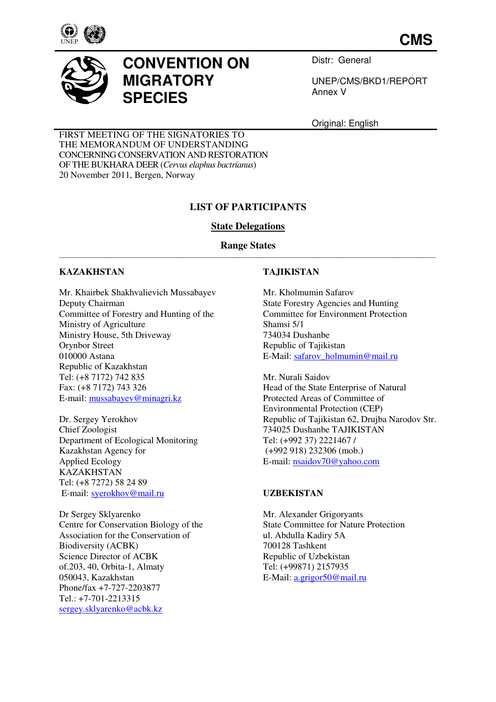

**CMS**



# **CONVENTION ON MIGRATORY SPECIES**

Distr: General

UNEP/CMS/BKD1/REPORT Annex V

Original: English

FIRST MEETING OF THE SIGNATORIES TO THE MEMORANDUM OF UNDERSTANDING CONCERNING CONSERVATION AND RESTORATION OF THE BUKHARA DEER (*Cervus elaphus bactrianus*) 20 November 2011, Bergen, Norway

# **LIST OF PARTICIPANTS**

# **State Delegations**

#### **Range States**  \_\_\_\_\_\_\_\_\_\_\_\_\_\_\_\_\_\_\_\_\_\_\_\_\_\_\_\_\_\_\_\_\_\_\_\_\_\_\_\_\_\_\_\_\_\_\_\_\_\_\_\_\_\_\_\_\_\_\_\_\_\_\_\_\_\_\_\_\_\_\_\_\_\_\_\_\_\_\_\_\_\_\_\_\_\_\_\_\_\_\_\_\_\_\_\_\_\_\_\_\_\_\_\_\_\_\_\_\_\_\_\_\_

#### **KAZAKHSTAN**

Mr. Khairbek Shakhvalievich Mussabayev Deputy Chairman Committee of Forestry and Hunting of the Ministry of Agriculture Ministry House, 5th Driveway Orynbor Street 010000 Astana Republic of Kazakhstan Tel: (+8 7172) 742 835 Fax: (+8 7172) 743 326 E-mail: mussabayev@minagri.kz

Dr. Sergey Yerokhov Chief Zoologist Department of Ecological Monitoring Kazakhstan Agency for Applied Ecology KAZAKHSTAN Tel: (+8 7272) 58 24 89 E-mail: syerokhov@mail.ru

Dr Sergey Sklyarenko Centre for Conservation Biology of the Association for the Conservation of Biodiversity (ACBK) Science Director of ACBK of.203, 40, Orbita-1, Almaty 050043, Kazakhstan Phone/fax +7-727-2203877 Tel.: +7-701-2213315 sergey.sklyarenko@acbk.kz

## **TAJIKISTAN**

Mr. Kholmumin Safarov State Forestry Agencies and Hunting Committee for Environment Protection Shamsi 5/1 734034 Dushanbe Republic of Tajikistan E-Mail: safarov\_holmumin@mail.ru

Mr. Nurali Saidov Head of the State Enterprise of Natural Protected Areas of Committee of Environmental Protection (CEP) Republic of Tajikistan 62, Drujba Narodov Str. 734025 Dushanbe TAJIKISTAN Tel: (+992 37) 2221467 / (+992 918) 232306 (mob.) E-mail: nsaidov70@yahoo.com

## **UZBEKISTAN**

Mr. Alexander Grigoryants State Committee for Nature Protection ul. Abdulla Kadiry 5A 700128 Tashkent Republic of Uzbekistan Tel: (+99871) 2157935 E-Mail: a.grigor50@mail.ru